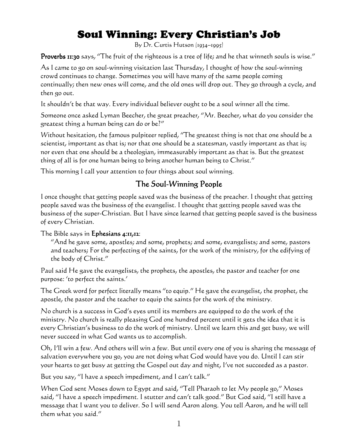# Soul Winning: Every Christian's Job

By Dr. Curtis Hutson  $[1934 - 1995]$ 

**Proverbs 11:30** says, "The fruit of the righteous is a tree of life; and he that winneth souls is wise."

As I came to go on soul-winning visitation last Thursday, I thought of how the soul-winning crowd continues to change. Sometimes you will have many of the same people coming continually; then new ones will come, and the old ones will drop out. They go through a cycle, and then go out.

It shouldn't be that way. Every individual believer ought to be a soul winner all the time.

Someone once asked Lyman Beecher, the great preacher, "Mr. Beecher, what do you consider the greatest thing a human being can do or be?"

Without hesitation, the famous pulpiteer replied, "The greatest thing is not that one should be a scientist, important as that is; nor that one should be a statesman, vastly important as that is; nor even that one should be a theologian, immeasurably important as that is. But the greatest thing of all is for one human being to bring another human being to Christ."

This morning I call your attention to four things about soul winning.

### The Soul-Winning People

I once thought that getting people saved was the business of the preacher. I thought that getting people saved was the business of the evangelist. I thought that getting people saved was the business of the super-Christian. But I have since learned that getting people saved is the business of every Christian.

#### The Bible says in **Ephesians 4:11,12**:

"And he gave some, apostles; and some, prophets; and some, evangelists; and some, pastors and teachers; For the perfecting of the saints, for the work of the ministry, for the edifying of the body of Christ."

Paul said He gave the evangelists, the prophets, the apostles, the pastor and teacher for one purpose: 'to perfect the saints.'

The Greek word for perfect literally means "to equip." He gave the evangelist, the prophet, the apostle, the pastor and the teacher to equip the saints for the work of the ministry.

No church is a success in God's eyes until its members are equipped to do the work of the ministry. No church is really pleasing God one hundred percent until it gets the idea that it is every Christian's business to do the work of ministry. Until we learn this and get busy, we will never succeed in what God wants us to accomplish.

Oh, I'll win a few. And others will win a few. But until every one of you is sharing the message of salvation everywhere you go, you are not doing what God would have you do. Until I can stir your hearts to get busy at getting the Gospel out day and night, I've not succeeded as a pastor.

But you say, "I have a speech impediment, and I can't talk."

When God sent Moses down to Egypt and said, "Tell Pharaoh to let My people go," Moses said, "I have a speech impediment. I stutter and can't talk good." But God said, "I still have a message that I want you to deliver. So I will send Aaron along. You tell Aaron, and he will tell them what you said."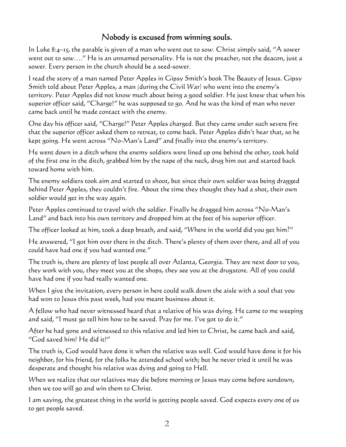#### $N$ obody is excused from winning souls.

In Luke 8:4–15, the parable is given of a man who went out to sow. Christ simply said, "A sower went out to sow…." He is an unnamed personality. He is not the preacher, not the deacon, just a sower. Every person in the church should be a seed-sower.

I read the story of a man named Peter Apples in Gipsy Smith's book The Beauty of Jesus. Gipsy Smith told about Peter Apples, a man (during the Civil War) who went into the enemy's territory. Peter Apples did not know much about being a good soldier. He just knew that when his superior officer said, "Charge!" he was supposed to go. And he was the kind of man who never came back until he made contact with the enemy.

One day his officer said, "Charge!" Peter Apples charged. But they came under such severe fire that the superior officer asked them to retreat, to come back. Peter Apples didn't hear that, so he kept going. He went across "No-Man's Land" and finally into the enemy's territory.

He went down in a ditch where the enemy soldiers were lined up one behind the other, took hold of the first one in the ditch, grabbed him by the nape of the neck, drug him out and started back toward home with him.

The enemy soldiers took aim and started to shoot, but since their own soldier was being dragged behind Peter Apples, they couldn't fire. About the time they thought they had a shot, their own soldier would get in the way again.

Peter Apples continued to travel with the soldier. Finally he dragged him across "No-Man's Land" and back into his own territory and dropped him at the feet of his superior officer.

The officer looked at him, took a deep breath, and said, "Where in the world did you get him?"

He answered, "I got him over there in the ditch. There's plenty of them over there, and all of you could have had one if you had wanted one."

The truth is, there are plenty of lost people all over Atlanta, Georgia. They are next door to you, they work with you, they meet you at the shops, they see you at the drugstore. All of you could have had one if you had really wanted one.

When I give the invitation, every person in here could walk down the aisle with a soul that you had won to Jesus this past week, had you meant business about it.

A fellow who had never witnessed heard that a relative of his was dying. He came to me weeping and said, "I must go tell him how to be saved. Pray for me. I've got to do it."

After he had gone and witnessed to this relative and led him to Christ, he came back and said, "God saved him! He did it!"

The truth is, God would have done it when the relative was well. God would have done it for his neighbor, for his friend, for the folks he attended school with; but he never tried it until he was desperate and thought his relative was dying and going to Hell.

When we realize that our relatives may die before morning or Jesus may come before sundown, then we too will go and win them to Christ.

I am saying, the greatest thing in the world is getting people saved. God expects every one of us to get people saved.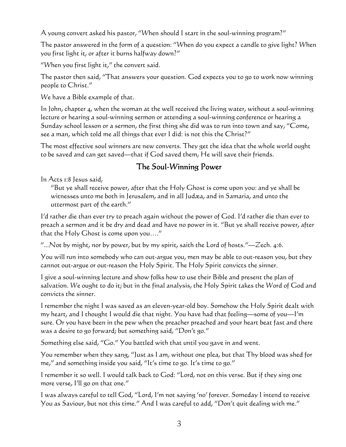A young convert asked his pastor, "When should I start in the soul-winning program?"

The pastor answered in the form of a question: "When do you expect a candle to give light? When you first light it, or after it burns halfway down?"

"When you first light it," the convert said.

The pastor then said, "That answers your question. God expects you to go to work now winning people to Christ."

We have a Bible example of that.

In John, chapter 4, when the woman at the well received the living water, without a soul-winning lecture or hearing a soul-winning sermon or attending a soul-winning conference or hearing a Sunday school lesson or a sermon, the first thing she did was to run into town and say, "Come, see a man, which told me all things that ever I did: is not this the Christ?"

The most effective soul winners are new converts. They get the idea that the whole world ought to be saved and can get saved—that if God saved them, He will save their friends.

### The Soul-Winning Power

In Acts 1:8 Jesus said,

"But ye shall receive power, after that the Holy Ghost is come upon you: and ye shall be witnesses unto me both in Jerusalem, and in all Judæa, and in Samaria, and unto the uttermost part of the earth."

I'd rather die than ever try to preach again without the power of God. I'd rather die than ever to preach a sermon and it be dry and dead and have no power in it. "But ye shall receive power, after that the Holy Ghost is come upon you…."

"...Not by might, nor by power, but by my spirit, saith the Lord of hosts."— $\mathsf{Zech.}\,4:6$ .

You will run into somebody who can out-argue you, men may be able to out-reason you, but they cannot out-argue or out-reason the Holy Spirit. The Holy Spirit convicts the sinner.

I give a soul-winning lecture and show folks how to use their Bible and present the plan of salvation. We ought to do it; but in the final analysis, the Holy Spirit takes the Word of God and convicts the sinner.

I remember the night I was saved as an eleven-year-old boy. Somehow the Holy Spirit dealt with my heart, and I thought I would die that night. You have had that feeling—some of you—I'm sure. Or you have been in the pew when the preacher preached and your heart beat fast and there was a desire to go forward; but something said, "Don't go."

Something else said, "Go." You battled with that until you gave in and went.

You remember when they sang, "Just as I am, without one plea, but that Thy blood was shed for me," and something inside you said, "It's time to go. It's time to go."

I remember it so well. I would talk back to God: "Lord, not on this verse. But if they sing one more verse, I'll go on that one."

I was always careful to tell God, "Lord, I'm not saying 'no' forever. Someday I intend to receive You as Saviour, but not this time." And I was careful to add, "Don't quit dealing with me."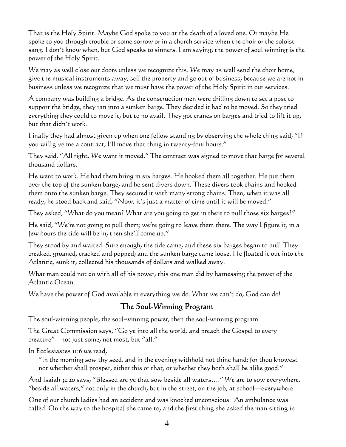That is the Holy Spirit. Maybe God spoke to you at the death of a loved one. Or maybe He spoke to you through trouble or some sorrow or in a church service when the choir or the soloist sang. I don't know when, but God speaks to sinners. I am saying, the power of soul winning is the power of the Holy Spirit.

We may as well close our doors unless we recognize this. We may as well send the choir home, give the musical instruments away, sell the property and go out of business, because we are not in business unless we recognize that we must have the power of the Holy Spirit in our services.

A company was building a bridge. As the construction men were drilling down to set a post to support the bridge, they ran into a sunken barge. They decided it had to be moved. So they tried everything they could to move it, but to no avail. They got cranes on barges and tried to lift it up, but that didn't work.

Finally they had almost given up when one fellow standing by observing the whole thing said, "If you will give me a contract, I'll move that thing in twenty-four hours."

They said, "All right. We want it moved." The contract was signed to move that barge for several thousand dollars.

He went to work. He had them bring in six barges. He hooked them all together. He put them over the top of the sunken barge, and he sent divers down. These divers took chains and hooked them onto the sunken barge. They secured it with many strong chains. Then, when it was all ready, he stood back and said, "Now, it's just a matter of time until it will be moved."

They asked, "What do you mean? What are you going to get in there to pull those six barges?"

He said, "We're not going to pull them; we're going to leave them there. The way I figure it, in a few hours the tide will be in, then she'll come up."

They stood by and waited. Sure enough, the tide came, and these six barges began to pull. They creaked, groaned, cracked and popped; and the sunken barge came loose. He floated it out into the Atlantic, sunk it, collected his thousands of dollars and walked away.

What man could not do with all of his power, this one man did by harnessing the power of the Atlantic Ocean.

We have the power of God available in everything we do. What we can't do, God can do!

#### The Soul-Winning Program

The soul-winning people, the soul-winning power, then the soul-winning program.

The Great Commission says, "Go ye into all the world, and preach the Gospel to every creature"—not just some, not most, but "all."

In Ecclesiastes 11:6 we read,

"In the morning sow thy seed, and in the evening withhold not thine hand: for thou knowest not whether shall prosper, either this or that, or whether they both shall be alike good."

And Isaiah 32:20 says, "Blessed are ye that sow beside all waters...." We are to sow everywhere, "beside all waters," not only in the church, but in the street, on the job, at school—everywhere.

One of our church ladies had an accident and was knocked unconscious. An ambulance was called. On the way to the hospital she came to, and the first thing she asked the man sitting in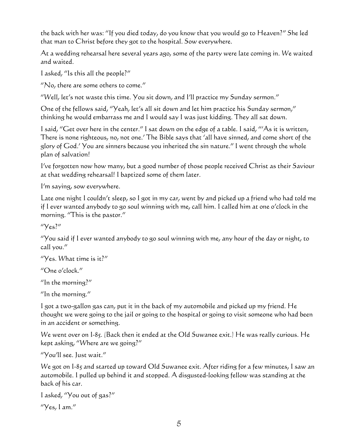the back with her was: "If you died today, do you know that you would go to Heaven?" She led that man to Christ before they got to the hospital. Sow everywhere.

At a wedding rehearsal here several years ago, some of the party were late coming in. We waited and waited.

I asked, "Is this all the people?"

 $''$ No, there are some others to come."

"Well, let's not waste this time. You sit down, and I'll practice my Sunday sermon."

One of the fellows said, "Yeah, let's all sit down and let him practice his Sunday sermon," thinking he would embarrass me and I would say I was just kidding. They all sat down.

I said, "Get over here in the center." I sat down on the edge of a table. I said, "'As it is written, There is none righteous, no, not one.' The Bible says that 'all have sinned, and come short of the glory of God.' You are sinners because you inherited the sin nature." I went through the whole plan of salvation!

I've forgotten now how many, but a good number of those people received Christ as their Saviour at that wedding rehearsal! I baptized some of them later.

I'm saying, sow everywhere.

Late one night I couldn't sleep, so I got in my car, went by and picked up a friend who had told me if I ever wanted anybody to go soul winning with me, call him. I called him at one o'clock in the morning. "This is the pastor."

"Yes?"

"You said if I ever wanted anybody to go soul winning with me, any hour of the day or night, to call you."

"Yes. What time is it?"

"One o'clock."

"In the morning?"

"In the morning."

I got a two-gallon gas can, put it in the back of my automobile and picked up my friend. He thought we were going to the jail or going to the hospital or going to visit someone who had been in an accident or something.

We went over on I-85. (Back then it ended at the Old Suwanee exit.) He was really curious. He kept asking, "Where are we going?"

"You'll see. Just wait."

We got on I-85 and started up toward Old Suwanee exit. After riding for a few minutes, I saw an automobile. I pulled up behind it and stopped. A disgusted-looking fellow was standing at the back of his car.

```
I asked, "You out of gas?" 
"Yes, I am."
```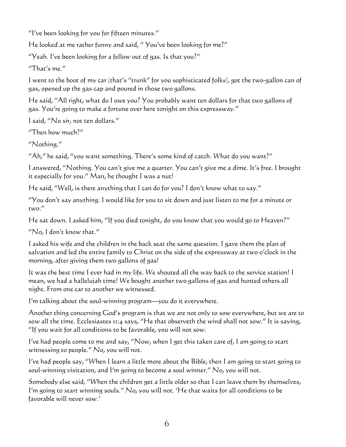"I've been looking for you for fifteen minutes."

He looked at me rather funny and said, " You've been looking for me?"

"Yeah. I've been looking for a fellow out of gas. Is that you?"

"That's me."

I went to the boot of my car (that's "trunk" for you sophisticated folks), got the two-gallon can of gas, opened up the gas cap and poured in those two gallons.

He said, "All right, what do I owe you? You probably want ten dollars for that two gallons of gas. You're going to make a fortune over here tonight on this expressway."

I said, "No sir, not ten dollars."

"Then how much?"

"Nothing."

"Ah," he said, "you want something. There's some kind of catch. What do you want?"

I answered, "Nothing. You can't give me a quarter. You can't give me a dime. It's free. I brought it especially for you." Man, he thought I was a nut!

He said, "Well, is there anything that I can do for you? I don't know what to say."

"You don't say anything. I would like for you to sit down and just listen to me for a minute or two."

He sat down. I asked him, "If you died tonight, do you know that you would go to Heaven?"

"No, I don't know that."

I asked his wife and the children in the back seat the same question. I gave them the plan of salvation and led the entire family to Christ on the side of the expressway at two o'clock in the morning, after giving them two gallons of gas!

It was the best time I ever had in my life. We shouted all the way back to the service station! I mean, we had a hallelujah time! We bought another two gallons of gas and hunted others all night. From one car to another we witnessed.

I'm talking about the soul-winning program—you do it everywhere.

Another thing concerning God's program is that we are not only to sow everywhere, but we are to sow all the time. Ecclesiastes 11:4 says, "He that observeth the wind shall not sow." It is saying, "If you wait for all conditions to be favorable, you will not sow.

I've had people come to me and say, "Now, when I get this taken care of, I am going to start witnessing to people." No, you will not.

I've had people say, "When I learn a little more about the Bible, then I am going to start going to soul-winning visitation, and I'm going to become a soul winner." No, you will not.

Somebody else said, "When the children get a little older so that I can leave them by themselves, I'm going to start winning souls." No, you will not. 'He that waits for all conditions to be favorable will never sow.'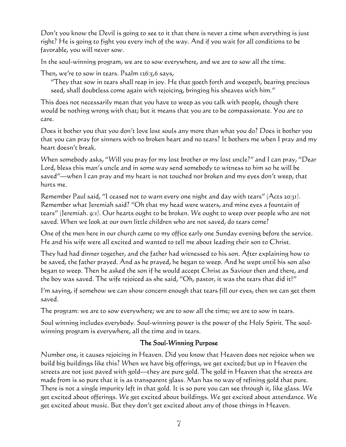Don't you know the Devil is going to see to it that there is never a time when everything is just right? He is going to fight you every inch of the way. And if you wait for all conditions to be favorable, you will never sow.

In the soul-winning program, we are to sow everywhere, and we are to sow all the time.

Then, we're to sow in tears. Psalm 126:5,6 says,

"They that sow in tears shall reap in joy. He that goeth forth and weepeth, bearing precious seed, shall doubtless come again with rejoicing, bringing his sheaves with him."

This does not necessarily mean that you have to weep as you talk with people, though there would be nothing wrong with that; but it means that you are to be compassionate. You are to care.

Does it bother you that you don't love lost souls any more than what you do? Does it bother you that you can pray for sinners with no broken heart and no tears? It bothers me when I pray and my heart doesn't break.

When somebody asks, "Will you pray for my lost brother or my lost uncle?" and I can pray, "Dear Lord, bless this man's uncle and in some way send somebody to witness to him so he will be saved"—when I can pray and my heart is not touched nor broken and my eyes don't weep, that hurts me.

Remember Paul said, "I ceased not to warn every one night and day with tears" (Acts 20:31). Remember what Jeremiah said? "Oh that my head were waters, and mine eyes a fountain of tears" (Jeremiah. 9:1). Our hearts ought to be broken. We ought to weep over people who are not saved. When we look at our own little children who are not saved, do tears come?

One of the men here in our church came to my office early one Sunday evening before the service. He and his wife were all excited and wanted to tell me about leading their son to Christ.

They had had dinner together, and the father had witnessed to his son. After explaining how to be saved, the father prayed. And as he prayed, he began to weep. And he wept until his son also began to weep. Then he asked the son if he would accept Christ as Saviour then and there, and the boy was saved. The wife rejoiced as she said, "Oh, pastor, it was the tears that did it!"

I'm saying, if somehow we can show concern enough that tears fill our eyes, then we can get them saved.

The program: we are to sow everywhere; we are to sow all the time; we are to sow in tears.

Soul winning includes everybody. Soul-winning power is the power of the Holy Spirit. The soulwinning program is everywhere, all the time and in tears.

#### The Soul-Winning Purpose

Number one, it causes rejoicing in Heaven. Did you know that Heaven does not rejoice when we build big buildings like this? When we have big offerings, we get excited; but up in Heaven the streets are not just paved with gold—they are pure gold. The gold in Heaven that the streets are made from is so pure that it is as transparent glass. Man has no way of refining gold that pure. There is not a single impurity left in that gold. It is so pure you can see through it, like glass. We get excited about offerings. We get excited about buildings. We get excited about attendance. We get excited about music. But they don't get excited about any of those things in Heaven.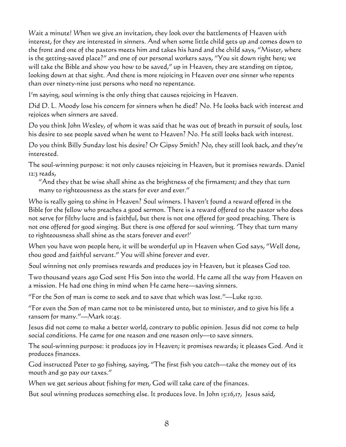Wait a minute! When we give an invitation, they look over the battlements of Heaven with interest, for they are interested in sinners. And when some little child gets up and comes down to the front and one of the pastors meets him and takes his hand and the child says, "Mister, where is the getting-saved place?" and one of our personal workers says, "You sit down right here; we will take the Bible and show you how to be saved," up in Heaven, they are standing on tiptoe, looking down at that sight. And there is more rejoicing in Heaven over one sinner who repents than over ninety-nine just persons who need no repentance.

I'm saying, soul winning is the only thing that causes rejoicing in Heaven.

Did D. L. Moody lose his concern for sinners when he died? No. He looks back with interest and rejoices when sinners are saved.

Do you think John Wesley, of whom it was said that he was out of breath in pursuit of souls, lost his desire to see people saved when he went to Heaven? No. He still looks back with interest.

Do you think Billy Sunday lost his desire? Or Gipsy Smith? No, they still look back, and they're interested.

The soul-winning purpose: it not only causes rejoicing in Heaven, but it promises rewards. Daniel  $12:3$  reads,

"And they that be wise shall shine as the brightness of the firmament; and they that turn many to righteousness as the stars for ever and ever."

Who is really going to shine in Heaven? Soul winners. I haven't found a reward offered in the Bible for the fellow who preaches a good sermon. There is a reward offered to the pastor who does not serve for filthy lucre and is faithful, but there is not one offered for good preaching. There is not one offered for good singing. But there is one offered for soul winning. 'They that turn many to righteousness shall shine as the stars forever and ever!'

When you have won people here, it will be wonderful up in Heaven when God says, "Well done, thou good and faithful servant." You will shine forever and ever.

Soul winning not only promises rewards and produces joy in Heaven, but it pleases God too.

Two thousand years ago God sent His Son into the world. He came all the way from Heaven on a mission. He had one thing in mind when He came here—saving sinners.

"For the Son of man is come to seek and to save that which was lost."—Luke 19:10.

"For even the Son of man came not to be ministered unto, but to minister, and to give his life a ransom for many."—Mark 10:45.

Jesus did not come to make a better world, contrary to public opinion. Jesus did not come to help social conditions. He came for one reason and one reason only—to save sinners.

The soul-winning purpose: it produces joy in Heaven; it promises rewards; it pleases God. And it produces finances.

God instructed Peter to go fishing, saying, "The first fish you catch—take the money out of its mouth and go pay our taxes."

When we get serious about fishing for men, God will take care of the finances.

But soul winning produces something else. It produces love. In John 15:16,17, Jesus said,